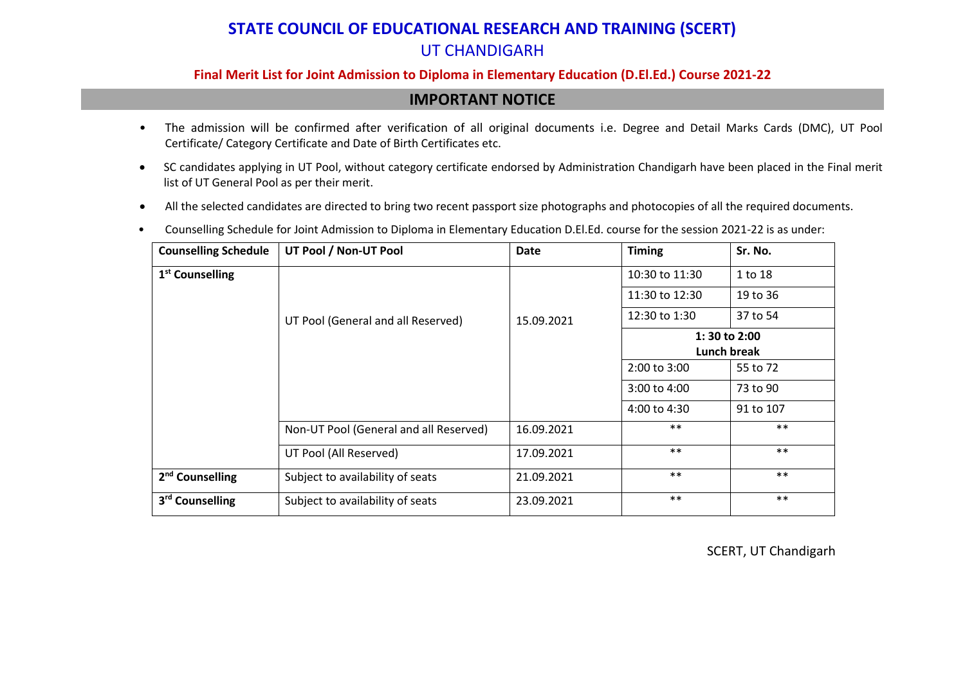#### **Final Merit List for Joint Admission to Diploma in Elementary Education (D.El.Ed.) Course 2021-22**

## **IMPORTANT NOTICE**

- The admission will be confirmed after verification of all original documents i.e. Degree and Detail Marks Cards (DMC), UT Pool Certificate/ Category Certificate and Date of Birth Certificates etc.
- SC candidates applying in UT Pool, without category certificate endorsed by Administration Chandigarh have been placed in the Final merit list of UT General Pool as per their merit.
- All the selected candidates are directed to bring two recent passport size photographs and photocopies of all the required documents.
- Counselling Schedule for Joint Admission to Diploma in Elementary Education D.El.Ed. course for the session 2021-22 is as under:

| <b>Counselling Schedule</b> | UT Pool / Non-UT Pool                  | Date       | <b>Timing</b>               | Sr. No.   |  |  |  |  |
|-----------------------------|----------------------------------------|------------|-----------------------------|-----------|--|--|--|--|
| 1 <sup>st</sup> Counselling |                                        |            | 10:30 to 11:30              | 1 to 18   |  |  |  |  |
|                             |                                        |            | 11:30 to 12:30              | 19 to 36  |  |  |  |  |
|                             | UT Pool (General and all Reserved)     | 15.09.2021 | 12:30 to 1:30               | 37 to 54  |  |  |  |  |
|                             |                                        |            | 1:30 to 2:00<br>Lunch break |           |  |  |  |  |
|                             |                                        |            | 2:00 to 3:00                | 55 to 72  |  |  |  |  |
|                             |                                        |            | 3:00 to 4:00                | 73 to 90  |  |  |  |  |
|                             |                                        |            | $4:00$ to $4:30$            | 91 to 107 |  |  |  |  |
|                             | Non-UT Pool (General and all Reserved) | 16.09.2021 | $***$                       | $***$     |  |  |  |  |
|                             | UT Pool (All Reserved)                 | 17.09.2021 | $***$                       | $***$     |  |  |  |  |
| 2 <sup>nd</sup> Counselling | Subject to availability of seats       | 21.09.2021 | $***$                       | $***$     |  |  |  |  |
| 3 <sup>rd</sup> Counselling | Subject to availability of seats       | 23.09.2021 | $***$                       | $***$     |  |  |  |  |

SCERT, UT Chandigarh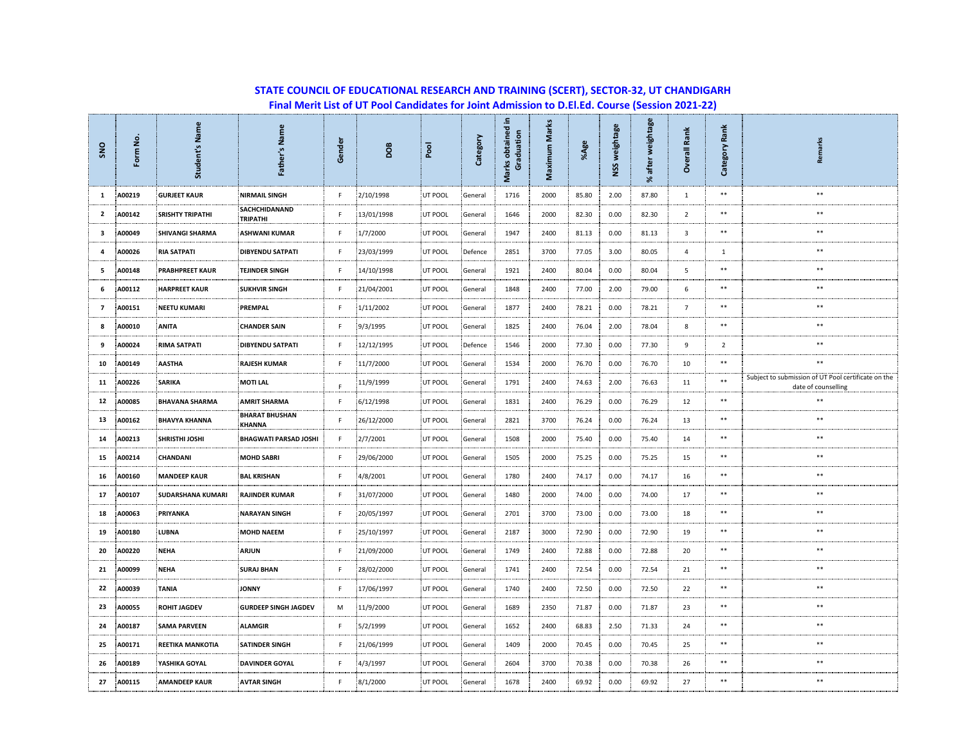| SNO                     | Form No | Name<br>Student's       | Father's Name                          | Gender | <b>BOO</b> | pool    | Category | 르.<br>Marks obtained<br>Graduation | Maximum Marks | %Age  | NSS weightage | weightage<br>after<br>৯ং | ž<br>ē<br>$\overline{1}$<br><b>S</b> | Ě<br>歰<br>Category | <b>larks</b><br>Rem                                                        |
|-------------------------|---------|-------------------------|----------------------------------------|--------|------------|---------|----------|------------------------------------|---------------|-------|---------------|--------------------------|--------------------------------------|--------------------|----------------------------------------------------------------------------|
| $\mathbf{1}$            | A00219  | <b>GURJEET KAUR</b>     | <b>NIRMAIL SINGH</b>                   | F.     | 2/10/1998  | UT POOL | General  | 1716                               | 2000          | 85.80 | 2.00          | 87.80                    | 1                                    | $\ast\ast$         | $**$                                                                       |
| $\overline{2}$          | A00142  | <b>SRISHTY TRIPATHI</b> | SACHCHIDANAND<br><b>TRIPATHI</b>       | F.     | 13/01/1998 | UT POOL | General  | 1646                               | 2000          | 82.30 | 0.00          | 82.30                    | 2                                    | **                 | **                                                                         |
| 3                       | A00049  | SHIVANGI SHARMA         | <b>ASHWANI KUMAR</b>                   | F      | 1/7/2000   | UT POOL | General  | 1947                               | 2400          | 81.13 | 0.00          | 81.13                    | $\overline{\mathbf{3}}$              | $\ast\ast$         | $\ast\ast$                                                                 |
| $\overline{a}$          | A00026  | <b>RIA SATPATI</b>      | <b>DIBYENDU SATPATI</b>                | F      | 23/03/1999 | UT POOL | Defence  | 2851                               | 3700          | 77.05 | 3.00          | 80.05                    | $\overline{a}$                       | 1                  | **                                                                         |
| 5                       | A00148  | <b>PRABHPREET KAUR</b>  | <b>TEJINDER SINGH</b>                  | F.     | 14/10/1998 | UT POOL | General  | 1921                               | 2400          | 80.04 | 0.00          | 80.04                    | 5                                    | **                 | **                                                                         |
| 6                       | A00112  | <b>HARPREET KAUR</b>    | <b>SUKHVIR SINGH</b>                   | F      | 21/04/2001 | UT POOL | General  | 1848                               | 2400          | 77.00 | 2.00          | 79.00                    | 6                                    | $***$              | $\ast\ast$                                                                 |
| $\overline{\mathbf{z}}$ | A00151  | <b>NEETU KUMARI</b>     | <b>PREMPAL</b>                         | F      | 1/11/2002  | UT POOL | General  | 1877                               | 2400          | 78.21 | 0.00          | 78.21                    | $\overline{7}$                       | **                 | $**$                                                                       |
| 8                       | A00010  | ANITA                   | <b>CHANDER SAIN</b>                    | F      | 9/3/1995   | UT POOL | General  | 1825                               | 2400          | 76.04 | 2.00          | 78.04                    | 8                                    | $**$               | **                                                                         |
| 9                       | A00024  | <b>RIMA SATPATI</b>     | <b>DIBYENDU SATPATI</b>                | F.     | 12/12/1995 | UT POOL | Defence  | 1546                               | 2000          | 77.30 | 0.00          | 77.30                    | 9                                    | 2                  | $\ast\ast$                                                                 |
| 10                      | A00149  | AASTHA                  | <b>RAJESH KUMAR</b>                    | F.     | 11/7/2000  | UT POOL | General  | 1534                               | 2000          | 76.70 | 0.00          | 76.70                    | 10                                   | **                 | **                                                                         |
| 11                      | A00226  | <b>SARIKA</b>           | <b>MOTI LAL</b>                        | F      | 11/9/1999  | UT POOL | General  | 1791                               | 2400          | 74.63 | 2.00          | 76.63                    | 11                                   | **                 | Subject to submission of UT Pool certificate on the<br>date of counselling |
| 12                      | A00085  | <b>BHAVANA SHARMA</b>   | <b>AMRIT SHARMA</b>                    | F.     | 6/12/1998  | UT POOL | General  | 1831                               | 2400          | 76.29 | 0.00          | 76.29                    | 12                                   | **                 | $\ast\ast$                                                                 |
| 13                      | A00162  | <b>BHAVYA KHANNA</b>    | <b>BHARAT BHUSHAN</b><br><b>KHANNA</b> | F      | 26/12/2000 | UT POOL | General  | 2821                               | 3700          | 76.24 | 0.00          | 76.24                    | 13                                   | **                 | **                                                                         |
| 14                      | A00213  | SHRISTHI JOSHI          | <b>BHAGWATI PARSAD JOSHI</b>           | F      | 2/7/2001   | UT POOL | General  | 1508                               | 2000          | 75.40 | 0.00          | 75.40                    | 14                                   | **                 | $**$                                                                       |
| 15                      | A00214  | CHANDANI                | <b>MOHD SABRI</b>                      | F      | 29/06/2000 | UT POOL | General  | 1505                               | 2000          | 75.25 | 0.00          | 75.25                    | 15                                   | $**$               | **                                                                         |
| 16                      | A00160  | <b>MANDEEP KAUR</b>     | <b>BAL KRISHAN</b>                     | F.     | 4/8/2001   | UT POOL | General  | 1780                               | 2400          | 74.17 | 0.00          | 74.17                    | 16                                   | $**$               | $\ast\ast$                                                                 |
| 17                      | A00107  | SUDARSHANA KUMARI       | <b>RAJINDER KUMAR</b>                  | F.     | 31/07/2000 | UT POOL | General  | 1480                               | 2000          | 74.00 | 0.00          | 74.00                    | 17                                   | **                 | **                                                                         |
| 18                      | A00063  | PRIYANKA                | <b>NARAYAN SINGH</b>                   | F      | 20/05/1997 | UT POOL | General  | 2701                               | 3700          | 73.00 | 0.00          | 73.00                    | 18                                   | **                 | **                                                                         |
| 19                      | A00180  | LUBNA                   | <b>MOHD NAEEM</b>                      | F.     | 25/10/1997 | UT POOL | General  | 2187                               | 3000          | 72.90 | 0.00          | 72.90                    | 19                                   | **                 | **                                                                         |
| 20                      | A00220  | <b>NEHA</b>             | <b>ARJUN</b>                           | F      | 21/09/2000 | UT POOL | General  | 1749                               | 2400          | 72.88 | 0.00          | 72.88                    | 20                                   | **                 | **                                                                         |
| 21                      | A00099  | <b>NEHA</b>             | <b>SURAJ BHAN</b>                      | F      | 28/02/2000 | UT POOL | General  | 1741                               | 2400          | 72.54 | 0.00          | 72.54                    | 21                                   | **                 | $**$                                                                       |
| 22                      | A00039  | <b>TANIA</b>            | <b>JONNY</b>                           | F      | 17/06/1997 | UT POOL | General  | 1740                               | 2400          | 72.50 | 0.00          | 72.50                    | 22                                   | **                 | **                                                                         |
| 23                      | A00055  | <b>ROHIT JAGDEV</b>     | <b>GURDEEP SINGH JAGDEV</b>            | M      | 11/9/2000  | UT POOL | General  | 1689                               | 2350          | 71.87 | 0.00          | 71.87                    | 23                                   | $**$               | $**$                                                                       |
| 24                      | A00187  | <b>SAMA PARVEEN</b>     | <b>ALAMGIR</b>                         | F.     | 5/2/1999   | UT POOL | General  | 1652                               | 2400          | 68.83 | 2.50          | 71.33                    | 24                                   | **                 | $\ast\ast$                                                                 |
| 25                      | A00171  | <b>REETIKA MANKOTIA</b> | <b>SATINDER SINGH</b>                  | F      | 21/06/1999 | UT POOL | General  | 1409                               | 2000          | 70.45 | 0.00          | 70.45                    | 25                                   | **                 | **                                                                         |
| 26                      | A00189  | YASHIKA GOYAL           | <b>DAVINDER GOYAL</b>                  | F.     | 4/3/1997   | UT POOL | General  | 2604                               | 3700          | 70.38 | 0.00          | 70.38                    | 26                                   | **                 | **                                                                         |
| 27                      | A00115  | <b>AMANDEEP KAUR</b>    | <b>AVTAR SINGH</b>                     | F      | 8/1/2000   | UT POOL | General  | 1678                               | 2400          | 69.92 | 0.00          | 69.92                    | 27                                   | **                 | **                                                                         |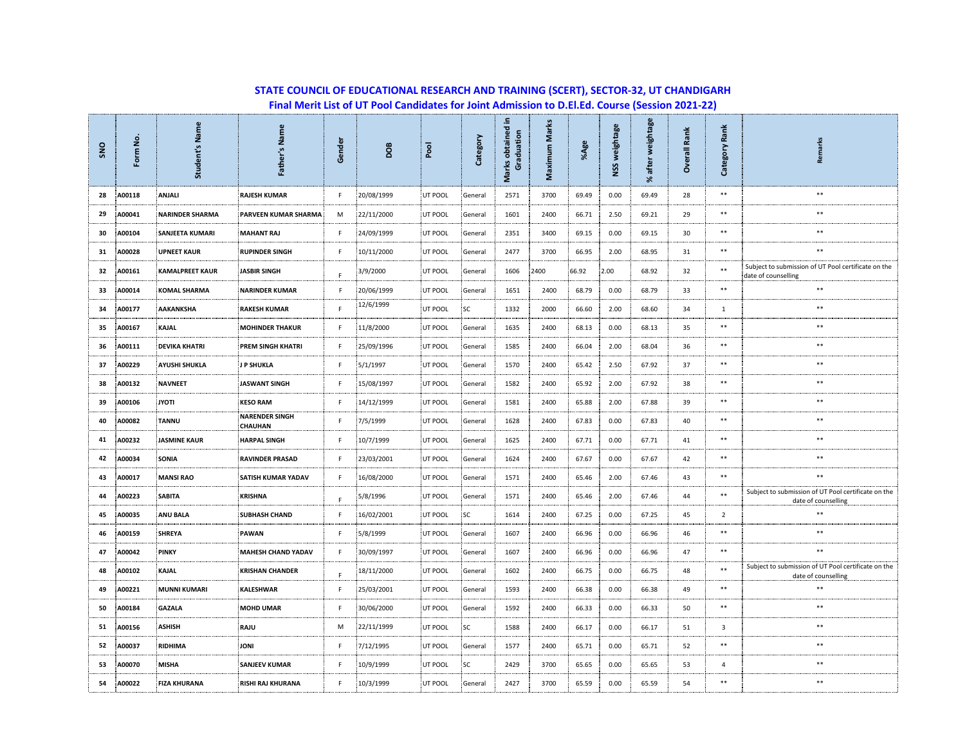| SNO | Form No. | Student's Name         | Father's Name                           | Gender | <b>DOB</b> | <b>Pool</b> | Category | 르.<br>Marks obtained<br>Graduation | Maximum Marks | %Age  | NSS weightage | weightage<br>after<br>ৼ | Rank<br>Overall | Rank<br>Category | Remarks                                                                    |
|-----|----------|------------------------|-----------------------------------------|--------|------------|-------------|----------|------------------------------------|---------------|-------|---------------|-------------------------|-----------------|------------------|----------------------------------------------------------------------------|
| 28  | A00118   | ANJALI                 | <b>RAJESH KUMAR</b>                     | F.     | 20/08/1999 | UT POOL     | General  | 2571                               | 3700          | 69.49 | 0.00          | 69.49                   | 28              | $\ast\ast$       | **                                                                         |
| 29  | A00041   | <b>NARINDER SHARMA</b> | PARVEEN KUMAR SHARMA                    | M      | 22/11/2000 | UT POOL     | General  | 1601                               | 2400          | 66.71 | 2.50          | 69.21                   | 29              | $**$             | $\ast\ast$                                                                 |
| 30  | A00104   | SANJEETA KUMARI        | <b>MAHANT RAJ</b>                       | F.     | 24/09/1999 | UT POOL     | General  | 2351                               | 3400          | 69.15 | 0.00          | 69.15                   | 30              | $**$             | $\ast\ast$                                                                 |
| 31  | A00028   | <b>UPNEET KAUR</b>     | <b>RUPINDER SINGH</b>                   | F.     | 10/11/2000 | UT POOL     | General  | 2477                               | 3700          | 66.95 | 2.00          | 68.95                   | 31              | **               | **                                                                         |
| 32  | A00161   | <b>KAMALPREET KAUR</b> | <b>JASBIR SINGH</b>                     | E      | 3/9/2000   | UT POOL     | General  | 1606                               | 2400          | 66.92 | 2.00          | 68.92                   | 32              | **               | Subject to submission of UT Pool certificate on the<br>date of counselling |
| 33  | A00014   | <b>KOMAL SHARMA</b>    | <b>NARINDER KUMAR</b>                   | F.     | 20/06/1999 | UT POOL     | General  | 1651                               | 2400          | 68.79 | 0.00          | 68.79                   | 33              | **               | $**$                                                                       |
| 34  | A00177   | AAKANKSHA              | <b>RAKESH KUMAR</b>                     | F.     | 12/6/1999  | UT POOL     | SC       | 1332                               | 2000          | 66.60 | 2.00          | 68.60                   | 34              | $\mathbf{1}$     | **                                                                         |
| 35  | A00167   | <b>KAJAL</b>           | <b>MOHINDER THAKUR</b>                  | F      | 11/8/2000  | UT POOL     | General  | 1635                               | 2400          | 68.13 | 0.00          | 68.13                   | 35              | $\ast\ast$       | $\ast\ast$                                                                 |
| 36  | A00111   | <b>DEVIKA KHATRI</b>   | <b>PREM SINGH KHATRI</b>                | F.     | 25/09/1996 | UT POOL     | General  | 1585                               | 2400          | 66.04 | 2.00          | 68.04                   | 36              | **               | **                                                                         |
| 37  | A00229   | <b>AYUSHI SHUKLA</b>   | <b>JP SHUKLA</b>                        | F      | 5/1/1997   | UT POOL     | General  | 1570                               | 2400          | 65.42 | 2.50          | 67.92                   | 37              | $\ast\ast$       | $\ast\ast$                                                                 |
| 38  | A00132   | <b>NAVNEET</b>         | <b>JASWANT SINGH</b>                    | F.     | 15/08/1997 | UT POOL     | General  | 1582                               | 2400          | 65.92 | 2.00          | 67.92                   | 38              | $\ast\ast$       | $\ast\ast$                                                                 |
| 39  | A00106   | <b>ITOYL</b>           | <b>KESO RAM</b>                         | F      | 14/12/1999 | UT POOL     | General  | 1581                               | 2400          | 65.88 | 2.00          | 67.88                   | 39              | **               | **                                                                         |
| 40  | A00082   | <b>TANNU</b>           | <b>NARENDER SINGH</b><br><b>CHAUHAN</b> | F.     | 7/5/1999   | UT POOL     | General  | 1628                               | 2400          | 67.83 | 0.00          | 67.83                   | 40              | **               | $**$                                                                       |
| 41  | A00232   | <b>JASMINE KAUR</b>    | <b>HARPAL SINGH</b>                     | F.     | 10/7/1999  | UT POOL     | General  | 1625                               | 2400          | 67.71 | 0.00          | 67.71                   | 41              | **               | $**$                                                                       |
| 42  | A00034   | SONIA                  | <b>RAVINDER PRASAD</b>                  | F.     | 23/03/2001 | UT POOL     | General  | 1624                               | 2400          | 67.67 | 0.00          | 67.67                   | 42              | **               | **                                                                         |
| 43  | A00017   | <b>MANSI RAO</b>       | SATISH KUMAR YADAV                      | F      | 16/08/2000 | UT POOL     | General  | 1571                               | 2400          | 65.46 | 2.00          | 67.46                   | 43              | **               | **                                                                         |
| 44  | A00223   | <b>SABITA</b>          | <b>KRISHNA</b>                          | E      | 5/8/1996   | UT POOL     | General  | 1571                               | 2400          | 65.46 | 2.00          | 67.46                   | 44              | $***$            | Subject to submission of UT Pool certificate on the<br>date of counselling |
| 45  | A00035   | <b>ANU BALA</b>        | <b>SUBHASH CHAND</b>                    | F.     | 16/02/2001 | UT POOL     | SC       | 1614                               | 2400          | 67.25 | 0.00          | 67.25                   | 45              | $\overline{2}$   | $**$                                                                       |
| 46  | A00159   | <b>SHREYA</b>          | PAWAN                                   | F.     | 5/8/1999   | UT POOL     | General  | 1607                               | 2400          | 66.96 | 0.00          | 66.96                   | 46              | **               | **                                                                         |
| 47  | A00042   | <b>PINKY</b>           | <b>MAHESH CHAND YADAV</b>               | F      | 30/09/1997 | UT POOL     | General  | 1607                               | 2400          | 66.96 | 0.00          | 66.96                   | 47              | $\ast\ast$       | **                                                                         |
| 48  | A00102   | KAJAL                  | <b>KRISHAN CHANDER</b>                  | F      | 18/11/2000 | UT POOL     | General  | 1602                               | 2400          | 66.75 | 0.00          | 66.75                   | 48              | $***$            | Subject to submission of UT Pool certificate on the<br>date of counselling |
| 49  | A00221   | <b>MUNNI KUMARI</b>    | <b>KALESHWAR</b>                        | F.     | 25/03/2001 | UT POOL     | General  | 1593                               | 2400          | 66.38 | 0.00          | 66.38                   | 49              | $\ast\ast$       | $\ast\ast$                                                                 |
| 50  | A00184   | <b>GAZALA</b>          | <b>MOHD UMAR</b>                        | F      | 30/06/2000 | UT POOL     | General  | 1592                               | 2400          | 66.33 | 0.00          | 66.33                   | 50              | **               | **                                                                         |
| 51  | A00156   | <b>ASHISH</b>          | RAJU                                    | M      | 22/11/1999 | UT POOL     | SC       | 1588                               | 2400          | 66.17 | 0.00          | 66.17                   | 51              | 3                | **                                                                         |
| 52  | A00037   | RIDHIMA                | <b>JONI</b>                             | F.     | 7/12/1995  | UT POOL     | General  | 1577                               | 2400          | 65.71 | 0.00          | 65.71                   | 52              | **               | $\ast\ast$                                                                 |
| 53  | A00070   | <b>MISHA</b>           | <b>SANJEEV KUMAR</b>                    | F.     | 10/9/1999  | UT POOL     | 'SC      | 2429                               | 3700          | 65.65 | 0.00          | 65.65                   | 53              | 4                | $**$                                                                       |
| 54  | A00022   | <b>FIZA KHURANA</b>    | RISHI RAJ KHURANA                       | F.     | 10/3/1999  | UT POOL     | General  | 2427                               | 3700          | 65.59 | 0.00          | 65.59                   | 54              | **               | **                                                                         |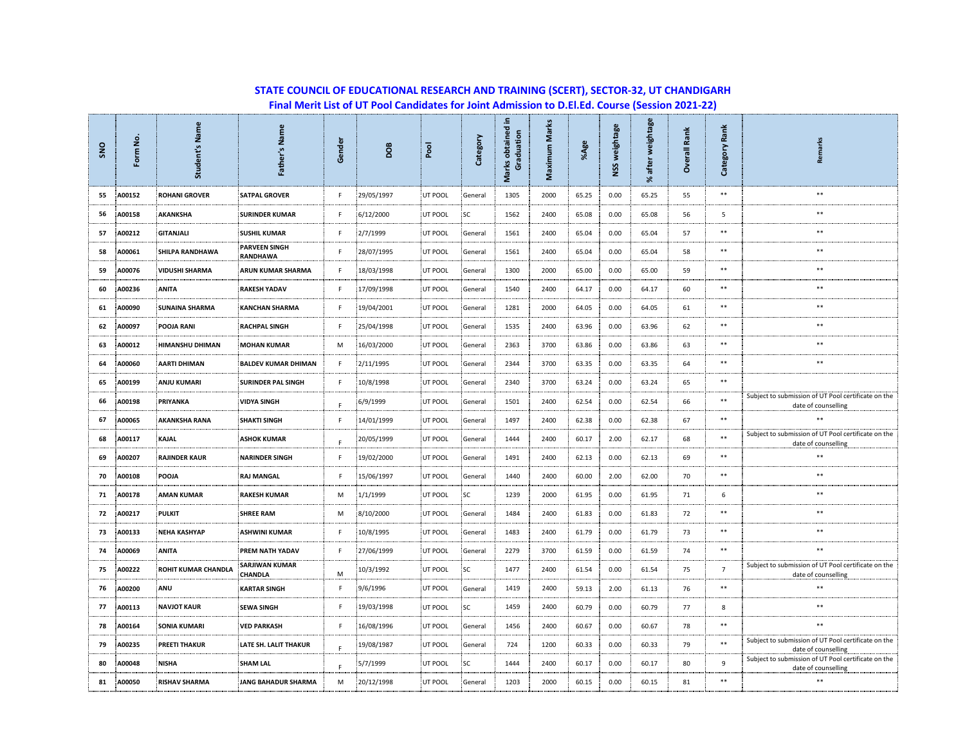| <b>SNO</b> | Form No | Student's Name             | Father's Name                           | Gender | <b>BO</b>  | pool    | Category  | Ξ.<br>Marks obtained<br>Graduation | <b>Marks</b><br>Maximum | %Age  | NSS weightage | weightage<br>after<br>% | Rank<br>Overall | Rank<br>Category | Remarks                                                                    |  |
|------------|---------|----------------------------|-----------------------------------------|--------|------------|---------|-----------|------------------------------------|-------------------------|-------|---------------|-------------------------|-----------------|------------------|----------------------------------------------------------------------------|--|
| 55         | A00152  | <b>ROHANI GROVER</b>       | <b>SATPAL GROVER</b>                    | F      | 29/05/1997 | UT POOL | General   | 1305                               | 2000                    | 65.25 | 0.00          | 65.25                   | 55              | $\ast\ast$       | $\ast\ast$                                                                 |  |
| 56         | A00158  | AKANKSHA                   | <b>SURINDER KUMAR</b>                   | F      | 6/12/2000  | UT POOL | <b>SC</b> | 1562                               | 2400                    | 65.08 | 0.00          | 65.08                   | 56              | 5                | **                                                                         |  |
| 57         | A00212  | <b>GITANJALI</b>           | <b>SUSHIL KUMAR</b>                     | F      | 2/7/1999   | UT POOL | General   | 1561                               | 2400                    | 65.04 | 0.00          | 65.04                   | 57              | **               | **                                                                         |  |
| 58         | A00061  | SHILPA RANDHAWA            | <b>PARVEEN SINGH</b><br>RANDHAWA        | F      | 28/07/1995 | UT POOL | General   | 1561                               | 2400                    | 65.04 | 0.00          | 65.04                   | 58              | **               | **                                                                         |  |
| 59         | A00076  | <b>VIDUSHI SHARMA</b>      | <b>ARUN KUMAR SHARMA</b>                | F.     | 18/03/1998 | UT POOL | General   | 1300                               | 2000                    | 65.00 | 0.00          | 65.00                   | 59              | **               | **                                                                         |  |
| 60         | A00236  | <b>ANITA</b>               | <b>RAKESH YADAV</b>                     | F      | 17/09/1998 | UT POOL | General   | 1540                               | 2400                    | 64.17 | 0.00          | 64.17                   | 60              | **               | **                                                                         |  |
| 61         | A00090  | <b>SUNAINA SHARMA</b>      | <b>KANCHAN SHARMA</b>                   | F      | 19/04/2001 | UT POOL | General   | 1281                               | 2000                    | 64.05 | 0.00          | 64.05                   | 61              | **               | **                                                                         |  |
| 62         | A00097  | POOJA RANI                 | <b>RACHPAL SINGH</b>                    | F      | 25/04/1998 | UT POOL | General   | 1535                               | 2400                    | 63.96 | 0.00          | 63.96                   | 62              | **               | **                                                                         |  |
| 63         | A00012  | HIMANSHU DHIMAN            | <b>MOHAN KUMAR</b>                      | M      | 16/03/2000 | UT POOL | General   | 2363                               | 3700                    | 63.86 | 0.00          | 63.86                   | 63              | **               | $\ast\ast$                                                                 |  |
| 64         | A00060  | <b>AARTI DHIMAN</b>        | <b>BALDEV KUMAR DHIMAN</b>              | F      | 2/11/1995  | UT POOL | General   | 2344                               | 3700                    | 63.35 | 0.00          | 63.35                   | 64              | **               | **                                                                         |  |
| 65         | A00199  | <b>ANJU KUMARI</b>         | <b>SURINDER PAL SINGH</b>               | F      | 10/8/1998  | UT POOL | General   | 2340                               | 3700                    | 63.24 | 0.00          | 63.24                   | 65              | **               |                                                                            |  |
| 66         | A00198  | PRIYANKA                   | <b>VIDYA SINGH</b>                      | F      | 6/9/1999   | UT POOL | General   | 1501                               | 2400                    | 62.54 | 0.00          | 62.54                   | 66              | **               | Subject to submission of UT Pool certificate on the<br>date of counselling |  |
| 67         | A00065  | <b>AKANKSHA RANA</b>       | <b>SHAKTI SINGH</b>                     | F      | 14/01/1999 | UT POOL | General   | 1497                               | 2400                    | 62.38 | 0.00          | 62.38                   | 67              | **               |                                                                            |  |
| 68         | A00117  | <b>KAJAL</b>               | <b>ASHOK KUMAR</b>                      | F      | 20/05/1999 | UT POOL | General   | 1444                               | 2400                    | 60.17 | 2.00          | 62.17                   | 68              | **               | Subject to submission of UT Pool certificate on the<br>date of counselling |  |
| 69         | A00207  | <b>RAJINDER KAUR</b>       | <b>NARINDER SINGH</b>                   | F      | 19/02/2000 | UT POOL | General   | 1491                               | 2400                    | 62.13 | 0.00          | 62.13                   | 69              | **               | $\ast\ast$                                                                 |  |
| 70         | A00108  | POOJA                      | <b>RAJ MANGAL</b>                       | F      | 15/06/1997 | UT POOL | General   | 1440                               | 2400                    | 60.00 | 2.00          | 62.00                   | 70              | $\ast\ast$       | $\ast\ast$                                                                 |  |
| 71         | A00178  | <b>AMAN KUMAR</b>          | <b>RAKESH KUMAR</b>                     | M      | 1/1/1999   | UT POOL | SC        | 1239                               | 2000                    | 61.95 | 0.00          | 61.95                   | 71              | 6                | $\ast\ast$                                                                 |  |
| 72         | A00217  | <b>PULKIT</b>              | <b>SHREE RAM</b>                        | M      | 8/10/2000  | UT POOL | General   | 1484                               | 2400                    | 61.83 | 0.00          | 61.83                   | 72              | **               | **                                                                         |  |
| 73         | A00133  | <b>NEHA KASHYAP</b>        | <b>ASHWINI KUMAR</b>                    | F      | 10/8/1995  | UT POOL | General   | 1483                               | 2400                    | 61.79 | 0.00          | 61.79                   | 73              | **               | **                                                                         |  |
| 74         | A00069  | <b>ANITA</b>               | PREM NATH YADAV                         | F      | 27/06/1999 | UT POOL | General   | 2279                               | 3700                    | 61.59 | 0.00          | 61.59                   | 74              | **               | **                                                                         |  |
| 75         | A00222  | <b>ROHIT KUMAR CHANDLA</b> | <b>SARJIWAN KUMAR</b><br><b>CHANDLA</b> | M      | 10/3/1992  | UT POOL | <b>SC</b> | 1477                               | 2400                    | 61.54 | 0.00          | 61.54                   | 75              | $\overline{7}$   | Subject to submission of UT Pool certificate on the<br>date of counselling |  |
| 76         | A00200  | ANU                        | <b>KARTAR SINGH</b>                     | F      | 9/6/1996   | UT POOL | General   | 1419                               | 2400                    | 59.13 | 2.00          | 61.13                   | 76              | $\ast\ast$       | $\ast\ast$                                                                 |  |
| 77         | A00113  | <b>NAVJOT KAUR</b>         | <b>SEWA SINGH</b>                       | F      | 19/03/1998 | UT POOL | SC        | 1459                               | 2400                    | 60.79 | 0.00          | 60.79                   | 77              | 8                | **                                                                         |  |
| 78         | A00164  | <b>SONIA KUMARI</b>        | <b>VED PARKASH</b>                      | F.     | 16/08/1996 | UT POOL | General   | 1456                               | 2400                    | 60.67 | 0.00          | 60.67                   | 78              | **               | **                                                                         |  |
| 79         | A00235  | <b>PREETI THAKUR</b>       | LATE SH. LALIT THAKUR                   | F      | 19/08/1987 | UT POOL | General   | 724                                | 1200                    | 60.33 | 0.00          | 60.33                   | 79              | **               | Subject to submission of UT Pool certificate on the<br>date of counselling |  |
| 80         | A00048  | <b>NISHA</b>               | <b>SHAM LAL</b>                         | F      | 5/7/1999   | UT POOL | SC        | 1444                               | 2400                    | 60.17 | 0.00          | 60.17                   | 80              | 9                | Subject to submission of UT Pool certificate on the<br>date of counselling |  |
| 81         | A00050  | <b>RISHAV SHARMA</b>       | <b>JANG BAHADUR SHARMA</b>              | M      | 20/12/1998 | UT POOL | General   | 1203                               | 2000                    | 60.15 | 0.00          | 60.15                   | 81              | **               | **                                                                         |  |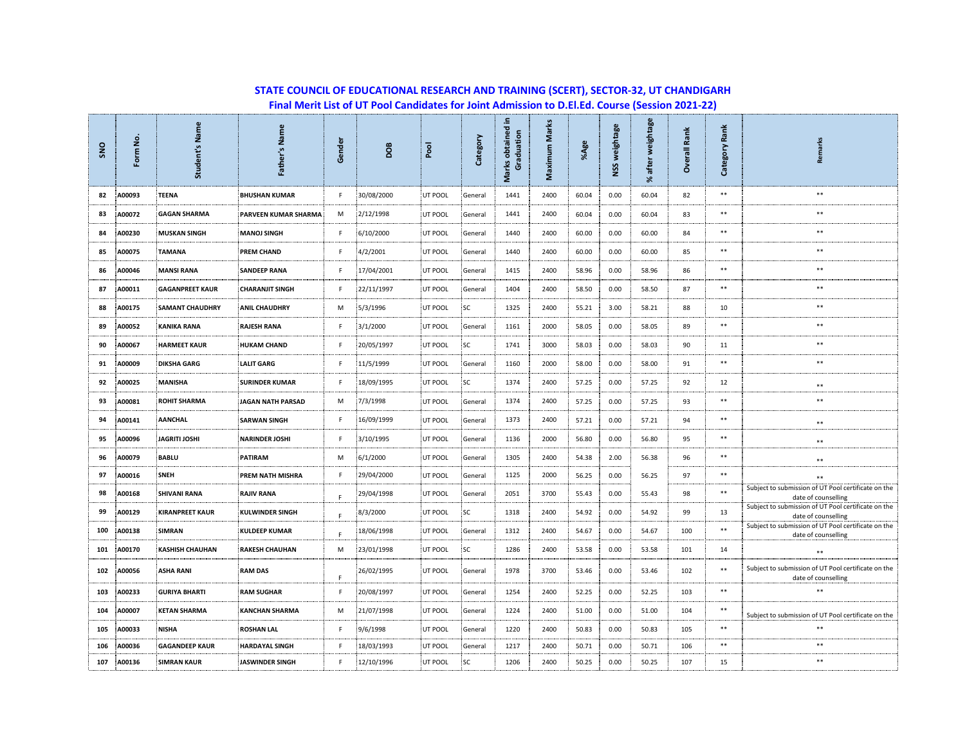| SNO | Form No | Name<br>Student's      | Father's Name            | Gender | <b>BOO</b> | pool    | Category  | 르.<br>Marks obtained<br>Graduation | Marks<br>Maximum | %Age  | NSS weightage | weightage<br>after<br>$\approx$ | Ě<br>æ<br>$\overline{\overline{e}}$<br>ő | Rank<br>Category | Remarks                                                                    |
|-----|---------|------------------------|--------------------------|--------|------------|---------|-----------|------------------------------------|------------------|-------|---------------|---------------------------------|------------------------------------------|------------------|----------------------------------------------------------------------------|
| 82  | A00093  | TEENA                  | <b>BHUSHAN KUMAR</b>     | F      | 30/08/2000 | UT POOL | General   | 1441                               | 2400             | 60.04 | 0.00          | 60.04                           | 82                                       | $\ast\ast$       | $\ast\ast$                                                                 |
| 83  | A00072  | <b>GAGAN SHARMA</b>    | PARVEEN KUMAR SHARMA     | M      | 2/12/1998  | UT POOL | General   | 1441                               | 2400             | 60.04 | 0.00          | 60.04                           | 83                                       | **               | **                                                                         |
| 84  | A00230  | <b>MUSKAN SINGH</b>    | <b>MANOJ SINGH</b>       | F      | 6/10/2000  | UT POOL | General   | 1440                               | 2400             | 60.00 | 0.00          | 60.00                           | 84                                       | **               | **                                                                         |
| 85  | A00075  | <b>TAMANA</b>          | <b>PREM CHAND</b>        | F      | 4/2/2001   | UT POOL | General   | 1440                               | 2400             | 60.00 | 0.00          | 60.00                           | 85                                       | **               | $\ast\ast$                                                                 |
| 86  | A00046  | <b>MANSI RANA</b>      | <b>SANDEEP RANA</b>      | F      | 17/04/2001 | UT POOL | General   | 1415                               | 2400             | 58.96 | 0.00          | 58.96                           | 86                                       | **               | **                                                                         |
| 87  | A00011  | <b>GAGANPREET KAUR</b> | <b>CHARANJIT SINGH</b>   | F      | 22/11/1997 | UT POOL | General   | 1404                               | 2400             | 58.50 | 0.00          | 58.50                           | 87                                       | **               | **                                                                         |
| 88  | A00175  | <b>SAMANT CHAUDHRY</b> | <b>ANIL CHAUDHRY</b>     | M      | 5/3/1996   | UT POOL | SC        | 1325                               | 2400             | 55.21 | 3.00          | 58.21                           | 88                                       | 10               | **                                                                         |
| 89  | A00052  | <b>KANIKA RANA</b>     | <b>RAJESH RANA</b>       | F      | 3/1/2000   | UT POOL | General   | 1161                               | 2000             | 58.05 | 0.00          | 58.05                           | 89                                       | **               | **                                                                         |
| 90  | A00067  | <b>HARMEET KAUR</b>    | <b>HUKAM CHAND</b>       | F      | 20/05/1997 | UT POOL | <b>SC</b> | 1741                               | 3000             | 58.03 | 0.00          | 58.03                           | 90                                       | 11               | **                                                                         |
| 91  | A00009  | <b>DIKSHA GARG</b>     | <b>LALIT GARG</b>        | F      | 11/5/1999  | UT POOL | General   | 1160                               | 2000             | 58.00 | 0.00          | 58.00                           | 91                                       | $***$            | **                                                                         |
| 92  | A00025  | MANISHA                | <b>SURINDER KUMAR</b>    | F      | 18/09/1995 | UT POOL | SC        | 1374                               | 2400             | 57.25 | 0.00          | 57.25                           | 92                                       | 12               | $**$                                                                       |
| 93  | A00081  | <b>ROHIT SHARMA</b>    | <b>JAGAN NATH PARSAD</b> | M      | 7/3/1998   | UT POOL | General   | 1374                               | 2400             | 57.25 | 0.00          | 57.25                           | 93                                       | $\ast\ast$       | $\ast\ast$                                                                 |
| 94  | A00141  | <b>AANCHAL</b>         | <b>SARWAN SINGH</b>      | F.     | 16/09/1999 | UT POOL | General   | 1373                               | 2400             | 57.21 | 0.00          | 57.21                           | 94                                       | $\ast\ast$       | $\ast\ast$                                                                 |
| 95  | A00096  | <b>JAGRITI JOSHI</b>   | <b>NARINDER JOSHI</b>    | F      | 3/10/1995  | UT POOL | General   | 1136                               | 2000             | 56.80 | 0.00          | 56.80                           | 95                                       | **               | $\ast\ast$                                                                 |
| 96  | A00079  | <b>BABLU</b>           | <b>PATIRAM</b>           | М      | 6/1/2000   | UT POOL | General   | 1305                               | 2400             | 54.38 | 2.00          | 56.38                           | 96                                       | **               | $\ast\ast$                                                                 |
| 97  | A00016  | SNEH                   | PREM NATH MISHRA         | F      | 29/04/2000 | UT POOL | General   | 1125                               | 2000             | 56.25 | 0.00          | 56.25                           | 97                                       | **               | **                                                                         |
| 98  | A00168  | <b>SHIVANI RANA</b>    | <b>RAJIV RANA</b>        | F      | 29/04/1998 | UT POOL | General   | 2051                               | 3700             | 55.43 | 0.00          | 55.43                           | 98                                       | **               | Subject to submission of UT Pool certificate on the<br>date of counselling |
| 99  | A00129  | <b>KIRANPREET KAUR</b> | <b>KULWINDER SINGH</b>   | F      | 8/3/2000   | UT POOL | SC        | 1318                               | 2400             | 54.92 | 0.00          | 54.92                           | 99                                       | 13               | Subject to submission of UT Pool certificate on the<br>date of counselling |
| 100 | A00138  | SIMRAN                 | <b>KULDEEP KUMAR</b>     | F.     | 18/06/1998 | UT POOL | General   | 1312                               | 2400             | 54.67 | 0.00          | 54.67                           | 100                                      | **               | Subject to submission of UT Pool certificate on the<br>date of counselling |
| 101 | A00170  | <b>KASHISH CHAUHAN</b> | <b>RAKESH CHAUHAN</b>    | M      | 23/01/1998 | UT POOL | SC        | 1286                               | 2400             | 53.58 | 0.00          | 53.58                           | 101                                      | 14               | **                                                                         |
| 102 | A00056  | <b>ASHA RANI</b>       | <b>RAM DAS</b>           | F.     | 26/02/1995 | UT POOL | General   | 1978                               | 3700             | 53.46 | 0.00          | 53.46                           | 102                                      | **               | Subject to submission of UT Pool certificate on the<br>date of counselling |
| 103 | A00233  | <b>GURIYA BHARTI</b>   | <b>RAM SUGHAR</b>        | F      | 20/08/1997 | UT POOL | General   | 1254                               | 2400             | 52.25 | 0.00          | 52.25                           | 103                                      | **               | **                                                                         |
| 104 | A00007  | <b>KETAN SHARMA</b>    | <b>KANCHAN SHARMA</b>    | М      | 21/07/1998 | UT POOL | General   | 1224                               | 2400             | 51.00 | 0.00          | 51.00                           | 104                                      | **               | Subject to submission of UT Pool certificate on the                        |
| 105 | A00033  | <b>NISHA</b>           | <b>ROSHAN LAL</b>        | F      | 9/6/1998   | UT POOL | General   | 1220                               | 2400             | 50.83 | 0.00          | 50.83                           | 105                                      | **               | **                                                                         |
| 106 | A00036  | <b>GAGANDEEP KAUR</b>  | <b>HARDAYAL SINGH</b>    | F      | 18/03/1993 | UT POOL | General   | 1217                               | 2400             | 50.71 | 0.00          | 50.71                           | 106                                      | **               | **                                                                         |
| 107 | A00136  | <b>SIMRAN KAUR</b>     | JASWINDER SINGH          | F      | 12/10/1996 | UT POOL | SC        | 1206                               | 2400             | 50.25 | 0.00          | 50.25                           | 107                                      | 15               | $**$                                                                       |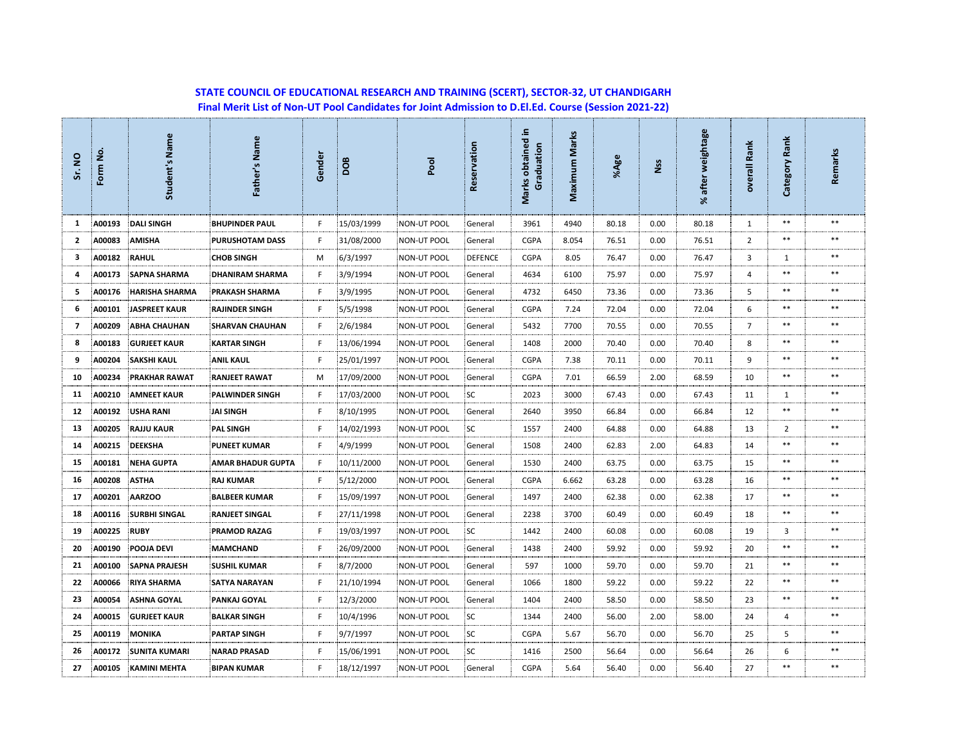## **STATE COUNCIL OF EDUCATIONAL RESEARCH AND TRAINING (SCERT), SECTOR-32, UT CHANDIGARH Final Merit List of Non-UT Pool Candidates for Joint Admission to D.El.Ed. Course (Session 2021-22)**

| Sr. NO         | ġ<br>Form | Student's Name        | Father's Name            | Gender | <b>BOO</b> | pool               | Reservation    | 르.<br>Marks obtained<br>Graduation | Maximum Marks | %Age  | Nss  | weightage<br>after<br>৯ং | overall Rank   | Category Rank  | Remarks |
|----------------|-----------|-----------------------|--------------------------|--------|------------|--------------------|----------------|------------------------------------|---------------|-------|------|--------------------------|----------------|----------------|---------|
| 1              | A00193    | <b>DALI SINGH</b>     | <b>BHUPINDER PAUL</b>    | F.     | 15/03/1999 | <b>NON-UT POOL</b> | General        | 3961                               | 4940          | 80.18 | 0.00 | 80.18                    | 1              | $***$          | $**$    |
| $\overline{2}$ | A00083    | <b>AMISHA</b>         | PURUSHOTAM DASS          | F.     | 31/08/2000 | NON-UT POOL        | General        | <b>CGPA</b>                        | 8.054         | 76.51 | 0.00 | 76.51                    | $\overline{2}$ | $***$          | $***$   |
| 3              | A00182    | <b>RAHUL</b>          | <b>CHOB SINGH</b>        | м      | 6/3/1997   | <b>NON-UT POOL</b> | <b>DEFENCE</b> | <b>CGPA</b>                        | 8.05          | 76.47 | 0.00 | 76.47                    | 3              | 1              | $***$   |
| 4              | A00173    | <b>SAPNA SHARMA</b>   | <b>DHANIRAM SHARMA</b>   | F      | 3/9/1994   | <b>NON-UT POOL</b> | General        | 4634                               | 6100          | 75.97 | 0.00 | 75.97                    | 4              | $***$          | $***$   |
| 5              | A00176    | <b>HARISHA SHARMA</b> | <b>PRAKASH SHARMA</b>    | F.     | 3/9/1995   | NON-UT POOL        | General        | 4732                               | 6450          | 73.36 | 0.00 | 73.36                    | 5              | $***$          | **      |
| 6              | A00101    | <b>JASPREET KAUR</b>  | <b>RAJINDER SINGH</b>    | F.     | 5/5/1998   | <b>NON-UT POOL</b> | General        | <b>CGPA</b>                        | 7.24          | 72.04 | 0.00 | 72.04                    | 6              | $***$          | $***$   |
| $\overline{7}$ | A00209    | <b>ABHA CHAUHAN</b>   | <b>SHARVAN CHAUHAN</b>   | F      | 2/6/1984   | <b>NON-UT POOL</b> | General        | 5432                               | 7700          | 70.55 | 0.00 | 70.55                    | $\overline{7}$ | $**$           | $**$    |
| 8              | A00183    | <b>GURJEET KAUR</b>   | <b>KARTAR SINGH</b>      | F.     | 13/06/1994 | NON-UT POOL        | General        | 1408                               | 2000          | 70.40 | 0.00 | 70.40                    | 8              | $***$          | $**$    |
| 9              | A00204    | <b>SAKSHI KAUL</b>    | <b>ANIL KAUL</b>         | F.     | 25/01/1997 | <b>NON-UT POOL</b> | General        | <b>CGPA</b>                        | 7.38          | 70.11 | 0.00 | 70.11                    | 9              | $***$          | $***$   |
| 10             | A00234    | <b>PRAKHAR RAWAT</b>  | <b>RANJEET RAWAT</b>     | м      | 17/09/2000 | <b>NON-UT POOL</b> | General        | <b>CGPA</b>                        | 7.01          | 66.59 | 2.00 | 68.59                    | 10             | $**$           | $**$    |
| 11             | A00210    | <b>AMNEET KAUR</b>    | <b>PALWINDER SINGH</b>   | F      | 17/03/2000 | NON-UT POOL        | <b>SC</b>      | 2023                               | 3000          | 67.43 | 0.00 | 67.43                    | 11             | 1              | $***$   |
| 12             | A00192    | <b>USHA RANI</b>      | JAI SINGH                | F.     | 8/10/1995  | <b>NON-UT POOL</b> | General        | 2640                               | 3950          | 66.84 | 0.00 | 66.84                    | 12             | $***$          | **      |
| 13             | A00205    | <b>RAJJU KAUR</b>     | <b>PAL SINGH</b>         | F.     | 14/02/1993 | <b>NON-UT POOL</b> | SC             | 1557                               | 2400          | 64.88 | 0.00 | 64.88                    | 13             | $\overline{2}$ | $***$   |
| 14             | A00215    | DEEKSHA               | <b>PUNEET KUMAR</b>      | F.     | 4/9/1999   | <b>NON-UT POOL</b> | General        | 1508                               | 2400          | 62.83 | 2.00 | 64.83                    | 14             | $***$          | $**$    |
| 15             | A00181    | <b>NEHA GUPTA</b>     | <b>AMAR BHADUR GUPTA</b> | F      | 10/11/2000 | <b>NON-UT POOL</b> | General        | 1530                               | 2400          | 63.75 | 0.00 | 63.75                    | 15             | $**$           | $**$    |
| 16             | A00208    | <b>ASTIIA</b>         | <b>RAJ KUMAR</b>         | F.     | 5/12/2000  | <b>NON-UT POOL</b> | General        | <b>CGPA</b>                        | 6.662         | 63.28 | 0.00 | 63.28                    | 16             | $***$          | $**$    |
| 17             | A00201    | <b>AARZOO</b>         | <b>BALBEER KUMAR</b>     | F.     | 15/09/1997 | <b>NON-UT POOL</b> | General        | 1497                               | 2400          | 62.38 | 0.00 | 62.38                    | 17             | $***$          | $**$    |
| 18             | A00116    | <b>SURBHI SINGAL</b>  | <b>RANJEET SINGAL</b>    | F      | 27/11/1998 | <b>NON-UT POOL</b> | General        | 2238                               | 3700          | 60.49 | 0.00 | 60.49                    | 18             | $***$          | $***$   |
| 19             | A00225    | <b>RUBY</b>           | <b>PRAMOD RAZAG</b>      | F      | 19/03/1997 | <b>NON-UT POOL</b> | <b>SC</b>      | 1442                               | 2400          | 60.08 | 0.00 | 60.08                    | 19             | 3              | **      |
| 20             | A00190    | <b>POOJA DEVI</b>     | <b>MAMCHAND</b>          | F.     | 26/09/2000 | NON-UT POOL        | General        | 1438                               | 2400          | 59.92 | 0.00 | 59.92                    | 20             | $***$          | $***$   |
| 21             | A00100    | <b>SAPNA PRAJESH</b>  | <b>SUSHIL KUMAR</b>      | F      | 8/7/2000   | <b>NON-UT POOL</b> | General        | 597                                | 1000          | 59.70 | 0.00 | 59.70                    | 21             | $***$          | $**$    |
| 22             | A00066    | <b>RIYA SHARMA</b>    | <b>SATYA NARAYAN</b>     | F      | 21/10/1994 | NON-UT POOL        | General        | 1066                               | 1800          | 59.22 | 0.00 | 59.22                    | 22             | $***$          | $* *$   |
| 23             | A00054    | <b>ASHNA GOYAL</b>    | PANKAJ GOYAL             | F.     | 12/3/2000  | <b>NON-UT POOL</b> | General        | 1404                               | 2400          | 58.50 | 0.00 | 58.50                    | 23             | $**$           | $**$    |
| 24             | A00015    | <b>GURJEET KAUR</b>   | <b>BALKAR SINGH</b>      | F      | 10/4/1996  | <b>NON-UT POOL</b> | <b>SC</b>      | 1344                               | 2400          | 56.00 | 2.00 | 58.00                    | 24             | $\overline{a}$ | $**$    |
| 25             | A00119    | <b>MONIKA</b>         | <b>PARTAP SINGH</b>      | F      | 9/7/1997   | NON-UT POOL        | SC             | <b>CGPA</b>                        | 5.67          | 56.70 | 0.00 | 56.70                    | 25             | 5              | $**$    |
| 26             | A00172    | <b>SUNITA KUMARI</b>  | <b>NARAD PRASAD</b>      | F      | 15/06/1991 | <b>NON-UT POOL</b> | <b>SC</b>      | 1416                               | 2500          | 56.64 | 0.00 | 56.64                    | 26             | 6              | **      |
| 27             | A00105    | <b>KAMINI MEHTA</b>   | <b>BIPAN KUMAR</b>       | F.     | 18/12/1997 | <b>NON-UT POOL</b> | General        | <b>CGPA</b>                        | 5.64          | 56.40 | 0.00 | 56.40                    | 27             | $***$          | $**$    |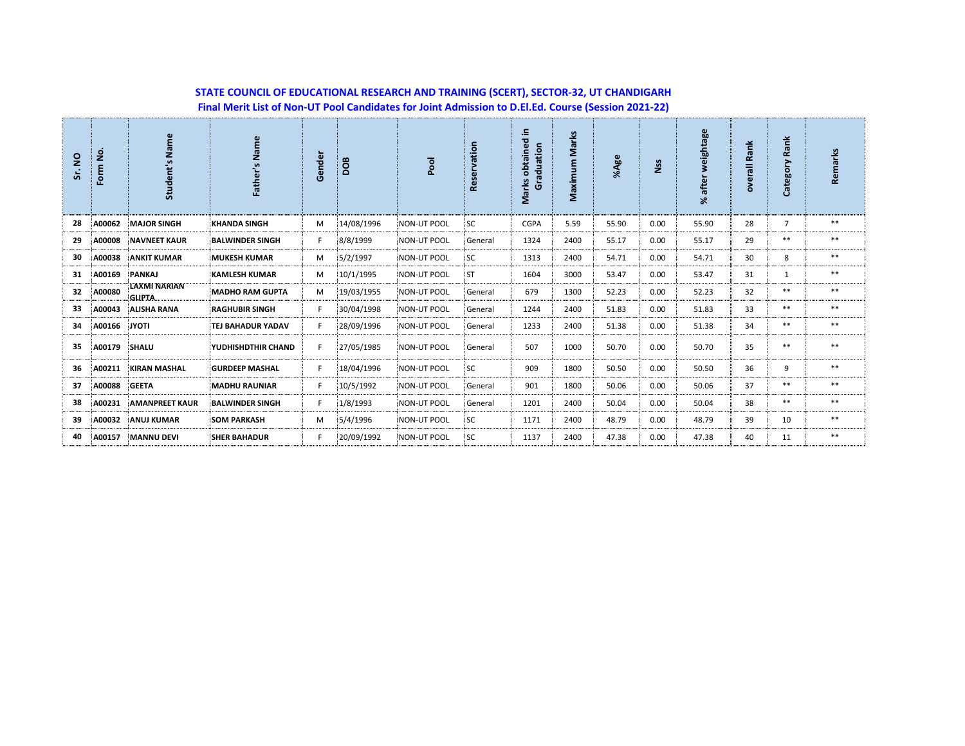## **STATE COUNCIL OF EDUCATIONAL RESEARCH AND TRAINING (SCERT), SECTOR-32, UT CHANDIGARH Final Merit List of Non-UT Pool Candidates for Joint Admission to D.El.Ed. Course (Session 2021-22)**

| $\overline{2}$<br>Šί. | $\overline{5}$<br>Form | Student's Name               | Name<br>Father'        | Gender | BOO        | Pool               | Reservation | obtained in<br>Graduation<br>Marks | Marks<br>Maximum | %Age  | Nss  | weightage<br>% after | Rank<br>overall | Rank<br>Category | Remarks |
|-----------------------|------------------------|------------------------------|------------------------|--------|------------|--------------------|-------------|------------------------------------|------------------|-------|------|----------------------|-----------------|------------------|---------|
| 28                    | A00062                 | <b>MAJOR SINGH</b>           | <b>KHANDA SINGH</b>    | M      | 14/08/1996 | <b>NON-UT POOL</b> | <b>SC</b>   | CGPA                               | 5.59             | 55.90 | 0.00 | 55.90                | 28              | $\overline{7}$   | $***$   |
| 29                    | A00008                 | <b>NAVNEET KAUR</b>          | <b>BALWINDER SINGH</b> | F      | 8/8/1999   | <b>NON-UT POOL</b> | General     | 1324                               | 2400             | 55.17 | 0.00 | 55.17                | 29              | $***$            | $***$   |
| 30                    | A00038                 | <b>ANKIT KUMAR</b>           | <b>MUKESH KUMAR</b>    | M      | 5/2/1997   | <b>NON-UT POOL</b> | <b>SC</b>   | 1313                               | 2400             | 54.71 | 0.00 | 54.71                | 30              | 8                | $***$   |
| 31                    | A00169                 | PANKAJ                       | <b>KAMLESH KUMAR</b>   | М      | 10/1/1995  | NON-UT POOL        | :ST         | 1604                               | 3000             | 53.47 | 0.00 | 53.47                | 31              | 1                | **      |
| 32                    | A00080                 | LAXMI NARIAN<br><b>GUPTA</b> | <b>MADHO RAM GUPTA</b> | М      | 19/03/1955 | NON-UT POOL        | General     | 679                                | 1300             | 52.23 | 0.00 | 52.23                | 32              | $***$            | $***$   |
| 33                    | A00043                 | <b>ALISHA RANA</b>           | <b>RAGHUBIR SINGH</b>  | F      | 30/04/1998 | <b>NON-UT POOL</b> | General     | 1244                               | 2400             | 51.83 | 0.00 | 51.83                | 33              | $***$            | $***$   |
| 34                    | A00166                 | <b>JYOTI</b>                 | TEJ BAHADUR YADAV      | F.     | 28/09/1996 | <b>NON-UT POOL</b> | General     | 1233                               | 2400             | 51.38 | 0.00 | 51.38                | 34              | $***$            | $***$   |
| 35                    | A00179                 | SHALU                        | YUDHISHDTHIR CHAND     | F.     | 27/05/1985 | <b>NON-UT POOL</b> | General     | 507                                | 1000             | 50.70 | 0.00 | 50.70                | 35              | $***$            | $***$   |
| 36                    | A00211                 | <b>KIRAN MASHAL</b>          | <b>GURDEEP MASHAL</b>  | F.     | 18/04/1996 | NON-UT POOL        | <b>SC</b>   | 909                                | 1800             | 50.50 | 0.00 | 50.50                | 36              | 9                | $***$   |
| 37                    | A00088                 | <b>GEETA</b>                 | <b>MADHU RAUNIAR</b>   | F      | 10/5/1992  | <b>NON-UT POOL</b> | General     | 901                                | 1800             | 50.06 | 0.00 | 50.06                | 37              | $***$            | $***$   |
| 38                    | A00231                 | <b>AMANPREET KAUR</b>        | <b>BALWINDER SINGH</b> | F      | 1/8/1993   | <b>NON-UT POOL</b> | General     | 1201                               | 2400             | 50.04 | 0.00 | 50.04                | 38              | $***$            | $***$   |
| 39                    | A00032                 | <b>ANUJ KUMAR</b>            | <b>SOM PARKASH</b>     | М      | 5/4/1996   | <b>NON-UT POOL</b> | <b>SC</b>   | 1171                               | 2400             | 48.79 | 0.00 | 48.79                | 39              | 10               | $***$   |
| 40                    | A00157                 | <b>MANNU DEVI</b>            | <b>SHER BAHADUR</b>    |        | 20/09/1992 | <b>NON-UT POOL</b> | <b>SC</b>   | 1137                               | 2400             | 47.38 | 0.00 | 47.38                | 40              | 11               | $***$   |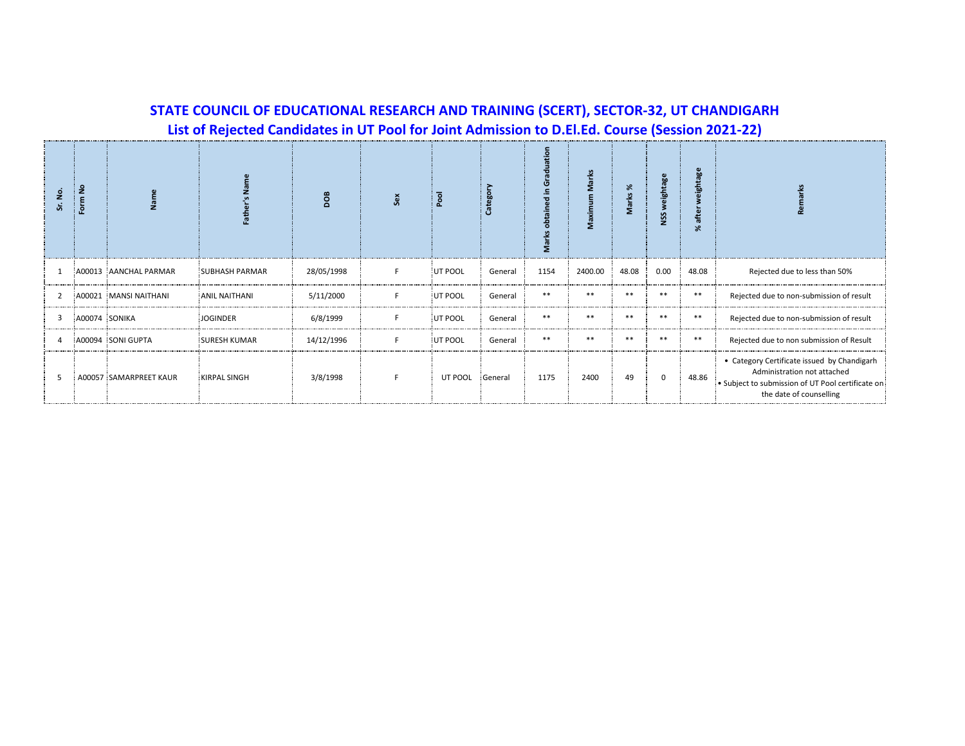**List of Rejected Candidates in UT Pool for Joint Admission to D.El.Ed. Course (Session 2021-22)**

|   |               |                        |                       | 80         |    |         |         | Σ     | Maxir   | %<br>Marks <sup>'</sup> | eightag<br>SSN | eightage<br>after<br>৯ৎ |                                                                                                                                                            |
|---|---------------|------------------------|-----------------------|------------|----|---------|---------|-------|---------|-------------------------|----------------|-------------------------|------------------------------------------------------------------------------------------------------------------------------------------------------------|
|   |               | A00013 AANCHAL PARMAR  | <b>SUBHASH PARMAR</b> | 28/05/1998 | F. | UT POOL | General | 1154  | 2400.00 | 48.08                   | 0.00           | 48.08                   | Rejected due to less than 50%                                                                                                                              |
| 2 |               | A00021 MANSI NAITHANI  | <b>ANIL NAITHANI</b>  | 5/11/2000  | F. | UT POOL | General | $***$ | $**$    | $**$                    | $**$           | $***$                   | Rejected due to non-submission of result                                                                                                                   |
| 3 | A00074 SONIKA |                        | <b>JOGINDER</b>       | 6/8/1999   | F  | UT POOL | General | $***$ | $**$    | $**$                    | $**$           | $***$                   | Rejected due to non-submission of result                                                                                                                   |
|   |               | A00094 SONI GUPTA      | <b>SURESH KUMAR</b>   | 14/12/1996 | F  | UT POOL | General | $***$ | $**$    | $**$                    | $**$           | $***$                   | Rejected due to non submission of Result                                                                                                                   |
| 5 |               | A00057 SAMARPREET KAUR | <b>KIRPAL SINGH</b>   | 3/8/1998   |    | UT POOL | General | 1175  | 2400    | 49                      | 0              | 48.86                   | • Category Certificate issued by Chandigarh<br>Administration not attached<br>. Subject to submission of UT Pool certificate on<br>the date of counselling |